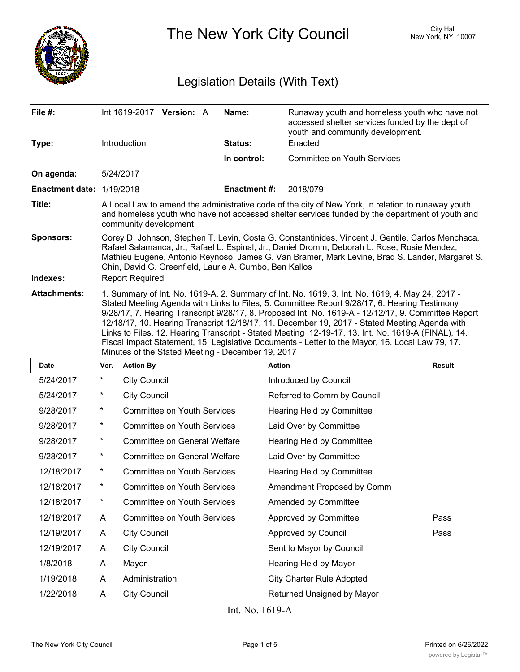

The New York City Council New York, NY 10007

## Legislation Details (With Text)

| File #:                   | Int 1619-2017 Version: A                                                                                                                                                                                                                                                                                                                                                                                                                                                                                                                                                                                                                                              | Name:              | Runaway youth and homeless youth who have not<br>accessed shelter services funded by the dept of<br>youth and community development. |  |  |
|---------------------------|-----------------------------------------------------------------------------------------------------------------------------------------------------------------------------------------------------------------------------------------------------------------------------------------------------------------------------------------------------------------------------------------------------------------------------------------------------------------------------------------------------------------------------------------------------------------------------------------------------------------------------------------------------------------------|--------------------|--------------------------------------------------------------------------------------------------------------------------------------|--|--|
| Type:                     | <b>Introduction</b>                                                                                                                                                                                                                                                                                                                                                                                                                                                                                                                                                                                                                                                   | Status:            | Enacted                                                                                                                              |  |  |
|                           |                                                                                                                                                                                                                                                                                                                                                                                                                                                                                                                                                                                                                                                                       | In control:        | <b>Committee on Youth Services</b>                                                                                                   |  |  |
| On agenda:                | 5/24/2017                                                                                                                                                                                                                                                                                                                                                                                                                                                                                                                                                                                                                                                             |                    |                                                                                                                                      |  |  |
| Enactment date: 1/19/2018 |                                                                                                                                                                                                                                                                                                                                                                                                                                                                                                                                                                                                                                                                       | <b>Enactment#:</b> | 2018/079                                                                                                                             |  |  |
| Title:                    | A Local Law to amend the administrative code of the city of New York, in relation to runaway youth<br>and homeless youth who have not accessed shelter services funded by the department of youth and<br>community development                                                                                                                                                                                                                                                                                                                                                                                                                                        |                    |                                                                                                                                      |  |  |
| <b>Sponsors:</b>          | Corey D. Johnson, Stephen T. Levin, Costa G. Constantinides, Vincent J. Gentile, Carlos Menchaca,<br>Rafael Salamanca, Jr., Rafael L. Espinal, Jr., Daniel Dromm, Deborah L. Rose, Rosie Mendez,<br>Mathieu Eugene, Antonio Reynoso, James G. Van Bramer, Mark Levine, Brad S. Lander, Margaret S.<br>Chin, David G. Greenfield, Laurie A. Cumbo, Ben Kallos                                                                                                                                                                                                                                                                                                          |                    |                                                                                                                                      |  |  |
| Indexes:                  | <b>Report Required</b>                                                                                                                                                                                                                                                                                                                                                                                                                                                                                                                                                                                                                                                |                    |                                                                                                                                      |  |  |
| <b>Attachments:</b>       | 1. Summary of Int. No. 1619-A, 2. Summary of Int. No. 1619, 3. Int. No. 1619, 4. May 24, 2017 -<br>Stated Meeting Agenda with Links to Files, 5. Committee Report 9/28/17, 6. Hearing Testimony<br>9/28/17, 7. Hearing Transcript 9/28/17, 8. Proposed Int. No. 1619-A - 12/12/17, 9. Committee Report<br>12/18/17, 10. Hearing Transcript 12/18/17, 11. December 19, 2017 - Stated Meeting Agenda with<br>Links to Files, 12. Hearing Transcript - Stated Meeting 12-19-17, 13. Int. No. 1619-A (FINAL), 14.<br>Fiscal Impact Statement, 15. Legislative Documents - Letter to the Mayor, 16. Local Law 79, 17.<br>Minutes of the Stated Meeting - December 19, 2017 |                    |                                                                                                                                      |  |  |

| <b>Date</b>     | Ver.       | <b>Action By</b>                    | <b>Action</b>                    | <b>Result</b> |  |
|-----------------|------------|-------------------------------------|----------------------------------|---------------|--|
| 5/24/2017       | *          | <b>City Council</b>                 | Introduced by Council            |               |  |
| 5/24/2017       | $^\star$   | <b>City Council</b>                 | Referred to Comm by Council      |               |  |
| 9/28/2017       | $^\star$   | <b>Committee on Youth Services</b>  | Hearing Held by Committee        |               |  |
| 9/28/2017       | $^\star$   | <b>Committee on Youth Services</b>  | Laid Over by Committee           |               |  |
| 9/28/2017       | $\star$    | Committee on General Welfare        | Hearing Held by Committee        |               |  |
| 9/28/2017       | $^\star$   | <b>Committee on General Welfare</b> | Laid Over by Committee           |               |  |
| 12/18/2017      | $^\star$   | <b>Committee on Youth Services</b>  | <b>Hearing Held by Committee</b> |               |  |
| 12/18/2017      | $^{\star}$ | <b>Committee on Youth Services</b>  | Amendment Proposed by Comm       |               |  |
| 12/18/2017      | $\star$    | <b>Committee on Youth Services</b>  | Amended by Committee             |               |  |
| 12/18/2017      | A          | <b>Committee on Youth Services</b>  | Approved by Committee            | Pass          |  |
| 12/19/2017      | A          | <b>City Council</b>                 | Approved by Council              | Pass          |  |
| 12/19/2017      | A          | <b>City Council</b>                 | Sent to Mayor by Council         |               |  |
| 1/8/2018        | A          | Mayor                               | Hearing Held by Mayor            |               |  |
| 1/19/2018       | A          | Administration                      | <b>City Charter Rule Adopted</b> |               |  |
| 1/22/2018       | A          | <b>City Council</b>                 | Returned Unsigned by Mayor       |               |  |
| Int. No. 1619-A |            |                                     |                                  |               |  |

The New York City Council **Page 1 of 5** Printed on 6/26/2022 Page 1 of 5 Printed on 6/26/2022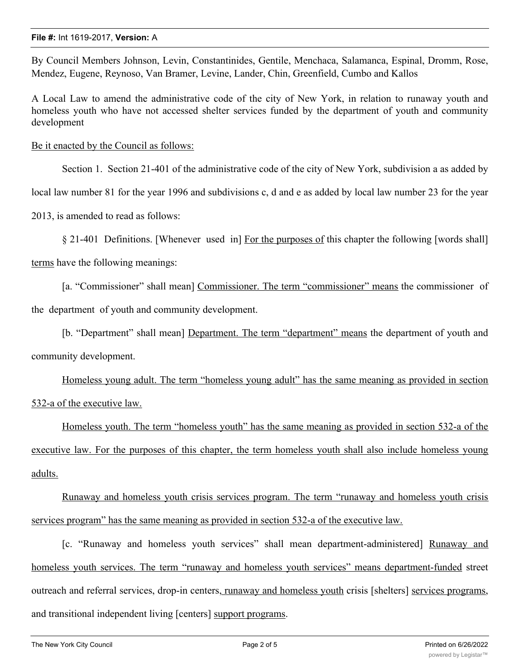By Council Members Johnson, Levin, Constantinides, Gentile, Menchaca, Salamanca, Espinal, Dromm, Rose, Mendez, Eugene, Reynoso, Van Bramer, Levine, Lander, Chin, Greenfield, Cumbo and Kallos

A Local Law to amend the administrative code of the city of New York, in relation to runaway youth and homeless youth who have not accessed shelter services funded by the department of youth and community development

Be it enacted by the Council as follows:

Section 1. Section 21-401 of the administrative code of the city of New York, subdivision a as added by

local law number 81 for the year 1996 and subdivisions c, d and e as added by local law number 23 for the year

2013, is amended to read as follows:

§ 21-401 Definitions. [Whenever used in] For the purposes of this chapter the following [words shall]

terms have the following meanings:

[a. "Commissioner" shall mean] Commissioner. The term "commissioner" means the commissioner of the department of youth and community development.

[b. "Department" shall mean] Department. The term "department" means the department of youth and community development.

Homeless young adult. The term "homeless young adult" has the same meaning as provided in section 532-a of the executive law.

Homeless youth. The term "homeless youth" has the same meaning as provided in section 532-a of the executive law. For the purposes of this chapter, the term homeless youth shall also include homeless young adults.

Runaway and homeless youth crisis services program. The term "runaway and homeless youth crisis services program" has the same meaning as provided in section 532-a of the executive law.

[c. "Runaway and homeless youth services" shall mean department-administered] Runaway and homeless youth services. The term "runaway and homeless youth services" means department-funded street outreach and referral services, drop-in centers, runaway and homeless youth crisis [shelters] services programs, and transitional independent living [centers] support programs.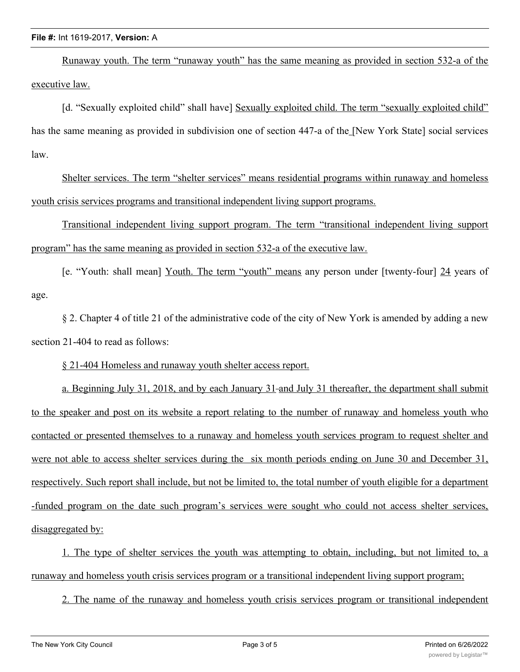## **File #:** Int 1619-2017, **Version:** A

Runaway youth. The term "runaway youth" has the same meaning as provided in section 532-a of the executive law.

[d. "Sexually exploited child" shall have] Sexually exploited child. The term "sexually exploited child" has the same meaning as provided in subdivision one of section 447-a of the [New York State] social services law.

Shelter services. The term "shelter services" means residential programs within runaway and homeless youth crisis services programs and transitional independent living support programs.

Transitional independent living support program. The term "transitional independent living support program" has the same meaning as provided in section 532-a of the executive law.

[e. "Youth: shall mean] Youth. The term "youth" means any person under [twenty-four] 24 years of age.

§ 2. Chapter 4 of title 21 of the administrative code of the city of New York is amended by adding a new section 21-404 to read as follows:

§ 21-404 Homeless and runaway youth shelter access report.

a. Beginning July 31, 2018, and by each January 31-and July 31 thereafter, the department shall submit to the speaker and post on its website a report relating to the number of runaway and homeless youth who contacted or presented themselves to a runaway and homeless youth services program to request shelter and were not able to access shelter services during the six month periods ending on June 30 and December 31, respectively. Such report shall include, but not be limited to, the total number of youth eligible for a department -funded program on the date such program's services were sought who could not access shelter services, disaggregated by:

1. The type of shelter services the youth was attempting to obtain, including, but not limited to, a runaway and homeless youth crisis services program or a transitional independent living support program;

2. The name of the runaway and homeless youth crisis services program or transitional independent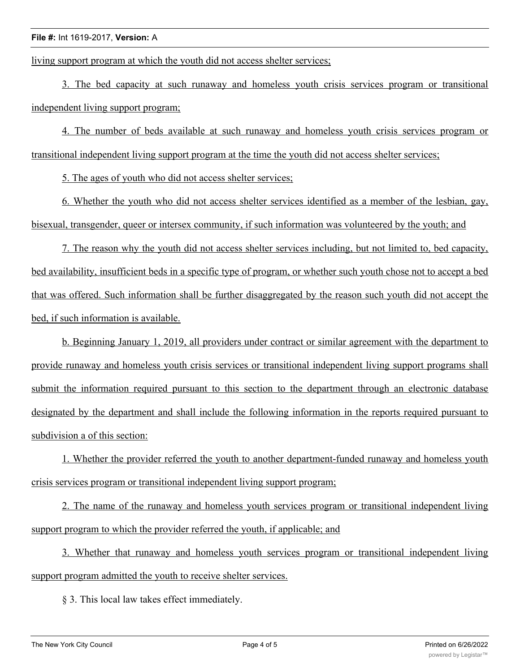living support program at which the youth did not access shelter services;

3. The bed capacity at such runaway and homeless youth crisis services program or transitional independent living support program;

4. The number of beds available at such runaway and homeless youth crisis services program or transitional independent living support program at the time the youth did not access shelter services;

5. The ages of youth who did not access shelter services;

6. Whether the youth who did not access shelter services identified as a member of the lesbian, gay, bisexual, transgender, queer or intersex community, if such information was volunteered by the youth; and

7. The reason why the youth did not access shelter services including, but not limited to, bed capacity, bed availability, insufficient beds in a specific type of program, or whether such youth chose not to accept a bed that was offered. Such information shall be further disaggregated by the reason such youth did not accept the bed, if such information is available.

b. Beginning January 1, 2019, all providers under contract or similar agreement with the department to provide runaway and homeless youth crisis services or transitional independent living support programs shall submit the information required pursuant to this section to the department through an electronic database designated by the department and shall include the following information in the reports required pursuant to subdivision a of this section:

1. Whether the provider referred the youth to another department-funded runaway and homeless youth crisis services program or transitional independent living support program;

2. The name of the runaway and homeless youth services program or transitional independent living support program to which the provider referred the youth, if applicable; and

3. Whether that runaway and homeless youth services program or transitional independent living support program admitted the youth to receive shelter services.

§ 3. This local law takes effect immediately.